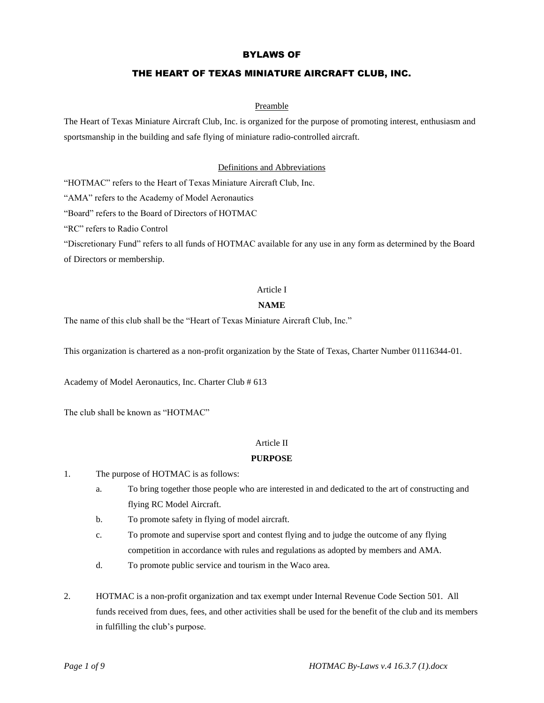# BYLAWS OF

# THE HEART OF TEXAS MINIATURE AIRCRAFT CLUB, INC.

#### Preamble

The Heart of Texas Miniature Aircraft Club, Inc. is organized for the purpose of promoting interest, enthusiasm and sportsmanship in the building and safe flying of miniature radio-controlled aircraft.

## Definitions and Abbreviations

"HOTMAC" refers to the Heart of Texas Miniature Aircraft Club, Inc.

"AMA" refers to the Academy of Model Aeronautics

"Board" refers to the Board of Directors of HOTMAC

"RC" refers to Radio Control

"Discretionary Fund" refers to all funds of HOTMAC available for any use in any form as determined by the Board of Directors or membership.

#### Article I

#### **NAME**

The name of this club shall be the "Heart of Texas Miniature Aircraft Club, Inc."

This organization is chartered as a non-profit organization by the State of Texas, Charter Number 01116344-01.

Academy of Model Aeronautics, Inc. Charter Club # 613

The club shall be known as "HOTMAC"

#### Article II

## **PURPOSE**

- 1. The purpose of HOTMAC is as follows:
	- a. To bring together those people who are interested in and dedicated to the art of constructing and flying RC Model Aircraft.
	- b. To promote safety in flying of model aircraft.
	- c. To promote and supervise sport and contest flying and to judge the outcome of any flying competition in accordance with rules and regulations as adopted by members and AMA.
	- d. To promote public service and tourism in the Waco area.
- 2. HOTMAC is a non-profit organization and tax exempt under Internal Revenue Code Section 501. All funds received from dues, fees, and other activities shall be used for the benefit of the club and its members in fulfilling the club's purpose.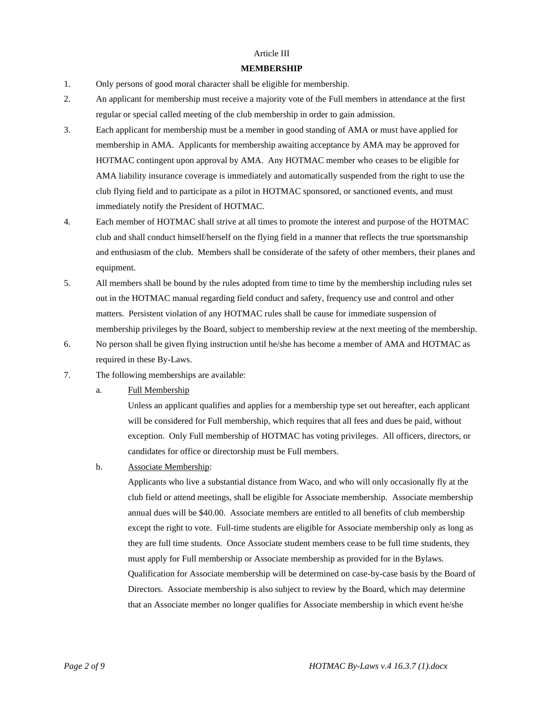## Article III

#### **MEMBERSHIP**

- 1. Only persons of good moral character shall be eligible for membership.
- 2. An applicant for membership must receive a majority vote of the Full members in attendance at the first regular or special called meeting of the club membership in order to gain admission.
- 3. Each applicant for membership must be a member in good standing of AMA or must have applied for membership in AMA. Applicants for membership awaiting acceptance by AMA may be approved for HOTMAC contingent upon approval by AMA. Any HOTMAC member who ceases to be eligible for AMA liability insurance coverage is immediately and automatically suspended from the right to use the club flying field and to participate as a pilot in HOTMAC sponsored, or sanctioned events, and must immediately notify the President of HOTMAC.
- 4. Each member of HOTMAC shall strive at all times to promote the interest and purpose of the HOTMAC club and shall conduct himself/herself on the flying field in a manner that reflects the true sportsmanship and enthusiasm of the club. Members shall be considerate of the safety of other members, their planes and equipment.
- 5. All members shall be bound by the rules adopted from time to time by the membership including rules set out in the HOTMAC manual regarding field conduct and safety, frequency use and control and other matters. Persistent violation of any HOTMAC rules shall be cause for immediate suspension of membership privileges by the Board, subject to membership review at the next meeting of the membership.
- 6. No person shall be given flying instruction until he/she has become a member of AMA and HOTMAC as required in these By-Laws.
- 7. The following memberships are available:
	- a. Full Membership

Unless an applicant qualifies and applies for a membership type set out hereafter, each applicant will be considered for Full membership, which requires that all fees and dues be paid, without exception. Only Full membership of HOTMAC has voting privileges. All officers, directors, or candidates for office or directorship must be Full members.

b. Associate Membership:

Applicants who live a substantial distance from Waco, and who will only occasionally fly at the club field or attend meetings, shall be eligible for Associate membership. Associate membership annual dues will be \$40.00. Associate members are entitled to all benefits of club membership except the right to vote. Full-time students are eligible for Associate membership only as long as they are full time students. Once Associate student members cease to be full time students, they must apply for Full membership or Associate membership as provided for in the Bylaws. Qualification for Associate membership will be determined on case-by-case basis by the Board of Directors. Associate membership is also subject to review by the Board, which may determine that an Associate member no longer qualifies for Associate membership in which event he/she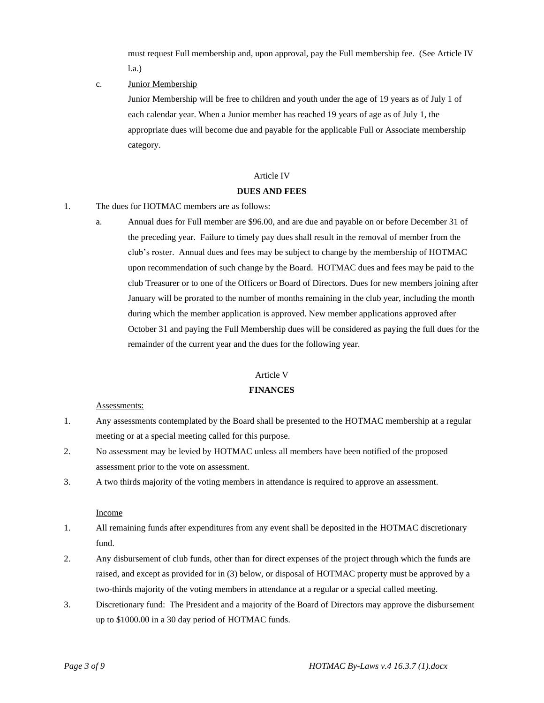must request Full membership and, upon approval, pay the Full membership fee. (See Article IV l.a.)

#### c. Junior Membership

Junior Membership will be free to children and youth under the age of 19 years as of July 1 of each calendar year. When a Junior member has reached 19 years of age as of July 1, the appropriate dues will become due and payable for the applicable Full or Associate membership category.

## Article IV

#### **DUES AND FEES**

- 1. The dues for HOTMAC members are as follows:
	- a. Annual dues for Full member are \$96.00, and are due and payable on or before December 31 of the preceding year. Failure to timely pay dues shall result in the removal of member from the club's roster. Annual dues and fees may be subject to change by the membership of HOTMAC upon recommendation of such change by the Board. HOTMAC dues and fees may be paid to the club Treasurer or to one of the Officers or Board of Directors. Dues for new members joining after January will be prorated to the number of months remaining in the club year, including the month during which the member application is approved. New member applications approved after October 31 and paying the Full Membership dues will be considered as paying the full dues for the remainder of the current year and the dues for the following year.

#### Article V

#### **FINANCES**

#### Assessments:

- 1. Any assessments contemplated by the Board shall be presented to the HOTMAC membership at a regular meeting or at a special meeting called for this purpose.
- 2. No assessment may be levied by HOTMAC unless all members have been notified of the proposed assessment prior to the vote on assessment.
- 3. A two thirds majority of the voting members in attendance is required to approve an assessment.

## Income

- 1. All remaining funds after expenditures from any event shall be deposited in the HOTMAC discretionary fund.
- 2. Any disbursement of club funds, other than for direct expenses of the project through which the funds are raised, and except as provided for in (3) below, or disposal of HOTMAC property must be approved by a two-thirds majority of the voting members in attendance at a regular or a special called meeting.
- 3. Discretionary fund: The President and a majority of the Board of Directors may approve the disbursement up to \$1000.00 in a 30 day period of HOTMAC funds.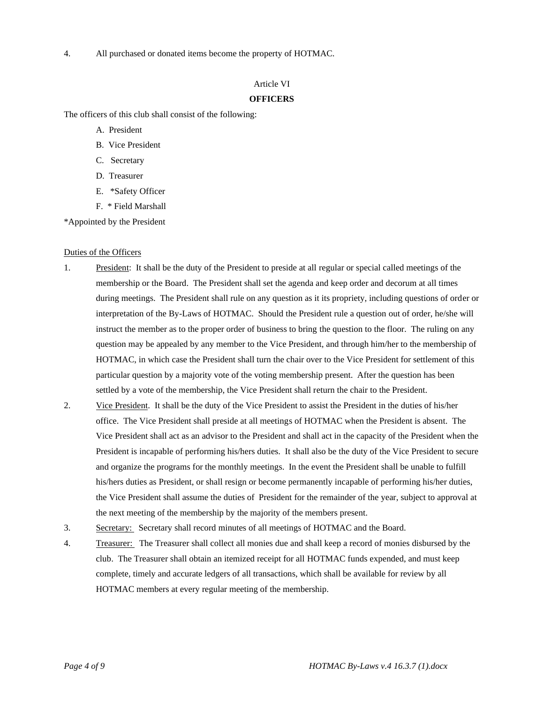4. All purchased or donated items become the property of HOTMAC.

## Article VI

## **OFFICERS**

The officers of this club shall consist of the following:

- A. President
- B. Vice President
- C. Secretary
- D. Treasurer
- E. \*Safety Officer
- F. \* Field Marshall

\*Appointed by the President

#### Duties of the Officers

- 1. President: It shall be the duty of the President to preside at all regular or special called meetings of the membership or the Board. The President shall set the agenda and keep order and decorum at all times during meetings. The President shall rule on any question as it its propriety, including questions of order or interpretation of the By-Laws of HOTMAC. Should the President rule a question out of order, he/she will instruct the member as to the proper order of business to bring the question to the floor. The ruling on any question may be appealed by any member to the Vice President, and through him/her to the membership of HOTMAC, in which case the President shall turn the chair over to the Vice President for settlement of this particular question by a majority vote of the voting membership present. After the question has been settled by a vote of the membership, the Vice President shall return the chair to the President.
- 2. Vice President. It shall be the duty of the Vice President to assist the President in the duties of his/her office. The Vice President shall preside at all meetings of HOTMAC when the President is absent. The Vice President shall act as an advisor to the President and shall act in the capacity of the President when the President is incapable of performing his/hers duties. It shall also be the duty of the Vice President to secure and organize the programs for the monthly meetings. In the event the President shall be unable to fulfill his/hers duties as President, or shall resign or become permanently incapable of performing his/her duties, the Vice President shall assume the duties of President for the remainder of the year, subject to approval at the next meeting of the membership by the majority of the members present.
- 3. Secretary: Secretary shall record minutes of all meetings of HOTMAC and the Board.
- 4. Treasurer: The Treasurer shall collect all monies due and shall keep a record of monies disbursed by the club. The Treasurer shall obtain an itemized receipt for all HOTMAC funds expended, and must keep complete, timely and accurate ledgers of all transactions, which shall be available for review by all HOTMAC members at every regular meeting of the membership.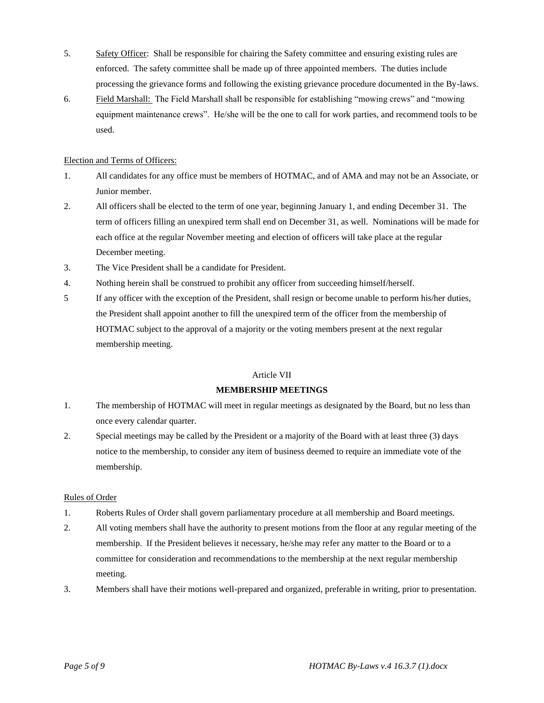- 5. Safety Officer: Shall be responsible for chairing the Safety committee and ensuring existing rules are enforced. The safety committee shall be made up of three appointed members. The duties include processing the grievance forms and following the existing grievance procedure documented in the By-laws.
- 6. Field Marshall: The Field Marshall shall be responsible for establishing "mowing crews" and "mowing equipment maintenance crews". He/she will be the one to call for work parties, and recommend tools to be used.

## Election and Terms of Officers:

- 1. All candidates for any office must be members of HOTMAC, and of AMA and may not be an Associate, or Junior member.
- 2. All officers shall be elected to the term of one year, beginning January 1, and ending December 31. The term of officers filling an unexpired term shall end on December 31, as well. Nominations will be made for each office at the regular November meeting and election of officers will take place at the regular December meeting.
- 3. The Vice President shall be a candidate for President.
- 4. Nothing herein shall be construed to prohibit any officer from succeeding himself/herself.
- 5 If any officer with the exception of the President, shall resign or become unable to perform his/her duties, the President shall appoint another to fill the unexpired term of the officer from the membership of HOTMAC subject to the approval of a majority or the voting members present at the next regular membership meeting.

## Article VII

## **MEMBERSHIP MEETINGS**

- 1. The membership of HOTMAC will meet in regular meetings as designated by the Board, but no less than once every calendar quarter.
- 2. Special meetings may be called by the President or a majority of the Board with at least three (3) days notice to the membership, to consider any item of business deemed to require an immediate vote of the membership.

## Rules of Order

- 1. Roberts Rules of Order shall govern parliamentary procedure at all membership and Board meetings.
- 2. All voting members shall have the authority to present motions from the floor at any regular meeting of the membership. If the President believes it necessary, he/she may refer any matter to the Board or to a committee for consideration and recommendations to the membership at the next regular membership meeting.
- 3. Members shall have their motions well-prepared and organized, preferable in writing, prior to presentation.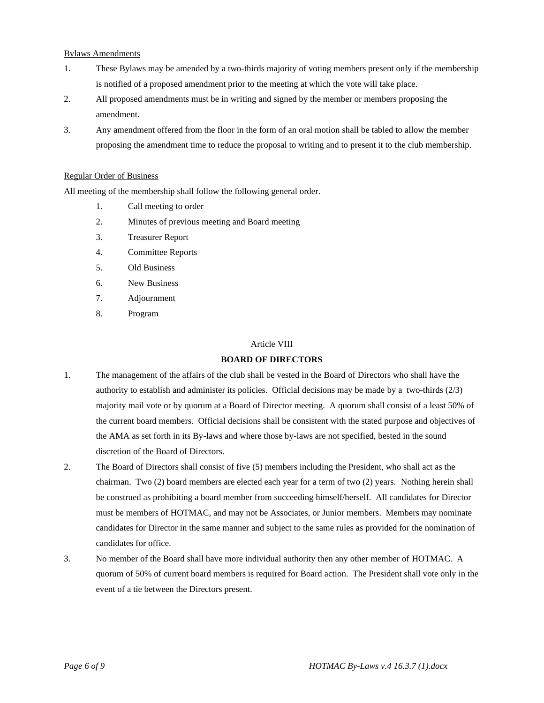## Bylaws Amendments

- 1. These Bylaws may be amended by a two-thirds majority of voting members present only if the membership is notified of a proposed amendment prior to the meeting at which the vote will take place.
- 2. All proposed amendments must be in writing and signed by the member or members proposing the amendment.
- 3. Any amendment offered from the floor in the form of an oral motion shall be tabled to allow the member proposing the amendment time to reduce the proposal to writing and to present it to the club membership.

#### Regular Order of Business

All meeting of the membership shall follow the following general order.

- 1. Call meeting to order
- 2. Minutes of previous meeting and Board meeting
- 3. Treasurer Report
- 4. Committee Reports
- 5. Old Business
- 6. New Business
- 7. Adjournment
- 8. Program

#### Article VIII

## **BOARD OF DIRECTORS**

- 1. The management of the affairs of the club shall be vested in the Board of Directors who shall have the authority to establish and administer its policies. Official decisions may be made by a two-thirds (2/3) majority mail vote or by quorum at a Board of Director meeting. A quorum shall consist of a least 50% of the current board members. Official decisions shall be consistent with the stated purpose and objectives of the AMA as set forth in its By-laws and where those by-laws are not specified, bested in the sound discretion of the Board of Directors.
- 2. The Board of Directors shall consist of five (5) members including the President, who shall act as the chairman. Two (2) board members are elected each year for a term of two (2) years. Nothing herein shall be construed as prohibiting a board member from succeeding himself/herself. All candidates for Director must be members of HOTMAC, and may not be Associates, or Junior members. Members may nominate candidates for Director in the same manner and subject to the same rules as provided for the nomination of candidates for office.
- 3. No member of the Board shall have more individual authority then any other member of HOTMAC. A quorum of 50% of current board members is required for Board action. The President shall vote only in the event of a tie between the Directors present.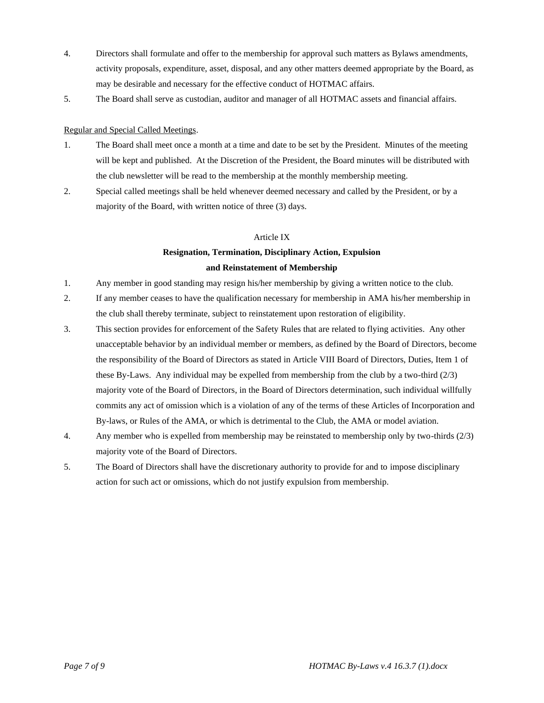- 4. Directors shall formulate and offer to the membership for approval such matters as Bylaws amendments, activity proposals, expenditure, asset, disposal, and any other matters deemed appropriate by the Board, as may be desirable and necessary for the effective conduct of HOTMAC affairs.
- 5. The Board shall serve as custodian, auditor and manager of all HOTMAC assets and financial affairs.

## Regular and Special Called Meetings.

- 1. The Board shall meet once a month at a time and date to be set by the President. Minutes of the meeting will be kept and published. At the Discretion of the President, the Board minutes will be distributed with the club newsletter will be read to the membership at the monthly membership meeting.
- 2. Special called meetings shall be held whenever deemed necessary and called by the President, or by a majority of the Board, with written notice of three (3) days.

## Article IX

# **Resignation, Termination, Disciplinary Action, Expulsion and Reinstatement of Membership**

- 1. Any member in good standing may resign his/her membership by giving a written notice to the club.
- 2. If any member ceases to have the qualification necessary for membership in AMA his/her membership in the club shall thereby terminate, subject to reinstatement upon restoration of eligibility.
- 3. This section provides for enforcement of the Safety Rules that are related to flying activities. Any other unacceptable behavior by an individual member or members, as defined by the Board of Directors, become the responsibility of the Board of Directors as stated in Article VIII Board of Directors, Duties, Item 1 of these By-Laws. Any individual may be expelled from membership from the club by a two-third (2/3) majority vote of the Board of Directors, in the Board of Directors determination, such individual willfully commits any act of omission which is a violation of any of the terms of these Articles of Incorporation and By-laws, or Rules of the AMA, or which is detrimental to the Club, the AMA or model aviation.
- 4. Any member who is expelled from membership may be reinstated to membership only by two-thirds (2/3) majority vote of the Board of Directors.
- 5. The Board of Directors shall have the discretionary authority to provide for and to impose disciplinary action for such act or omissions, which do not justify expulsion from membership.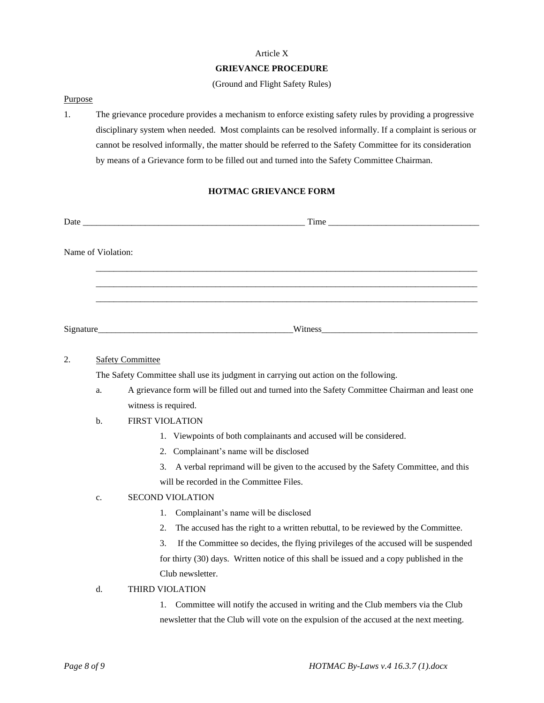#### Article X

## **GRIEVANCE PROCEDURE**

(Ground and Flight Safety Rules)

#### Purpose

1. The grievance procedure provides a mechanism to enforce existing safety rules by providing a progressive disciplinary system when needed. Most complaints can be resolved informally. If a complaint is serious or cannot be resolved informally, the matter should be referred to the Safety Committee for its consideration by means of a Grievance form to be filled out and turned into the Safety Committee Chairman.

# **HOTMAC GRIEVANCE FORM**

| Name of Violation: |                                                                                      |                                                                                                 |
|--------------------|--------------------------------------------------------------------------------------|-------------------------------------------------------------------------------------------------|
|                    |                                                                                      |                                                                                                 |
|                    |                                                                                      |                                                                                                 |
|                    |                                                                                      |                                                                                                 |
|                    |                                                                                      |                                                                                                 |
|                    |                                                                                      |                                                                                                 |
|                    |                                                                                      |                                                                                                 |
| 2.                 |                                                                                      | <b>Safety Committee</b>                                                                         |
|                    | The Safety Committee shall use its judgment in carrying out action on the following. |                                                                                                 |
|                    | a.                                                                                   | A grievance form will be filled out and turned into the Safety Committee Chairman and least one |
|                    |                                                                                      | witness is required.                                                                            |
|                    | b.                                                                                   | <b>FIRST VIOLATION</b>                                                                          |
|                    |                                                                                      | 1. Viewpoints of both complainants and accused will be considered.                              |

- 2. Complainant's name will be disclosed
- 3. A verbal reprimand will be given to the accused by the Safety Committee, and this
- will be recorded in the Committee Files.

## c. SECOND VIOLATION

- 1. Complainant's name will be disclosed
- 2. The accused has the right to a written rebuttal, to be reviewed by the Committee.

3. If the Committee so decides, the flying privileges of the accused will be suspended for thirty (30) days. Written notice of this shall be issued and a copy published in the Club newsletter.

#### d. THIRD VIOLATION

1. Committee will notify the accused in writing and the Club members via the Club newsletter that the Club will vote on the expulsion of the accused at the next meeting.